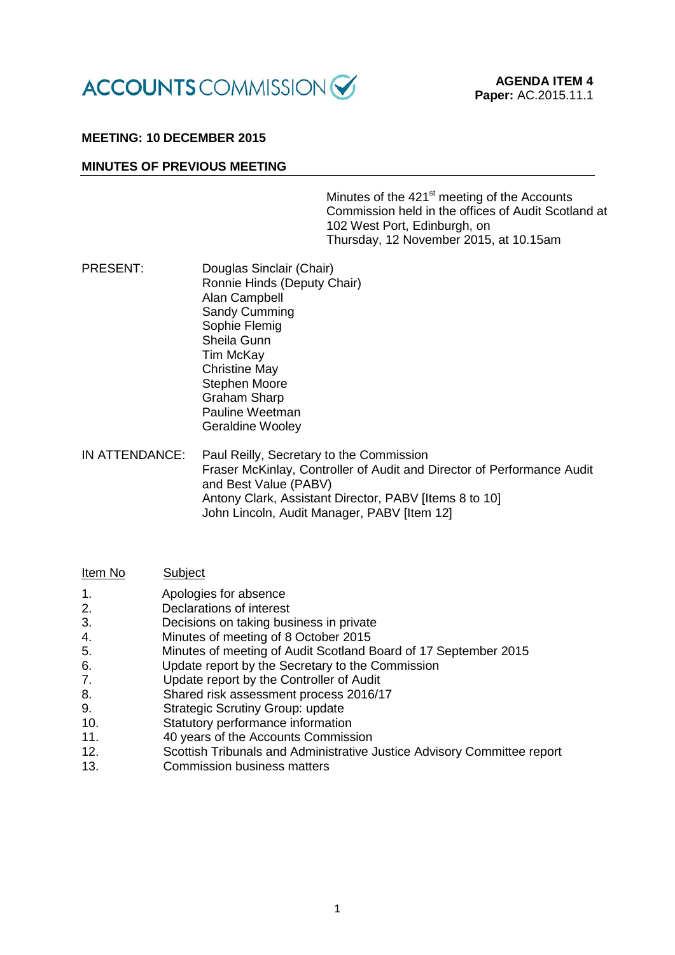

### **MEETING: 10 DECEMBER 2015**

### **MINUTES OF PREVIOUS MEETING**

Minutes of the 421<sup>st</sup> meeting of the Accounts Commission held in the offices of Audit Scotland at 102 West Port, Edinburgh, on Thursday, 12 November 2015, at 10.15am

- PRESENT: Douglas Sinclair (Chair) Ronnie Hinds (Deputy Chair) Alan Campbell Sandy Cumming Sophie Flemig Sheila Gunn Tim McKay Christine May Stephen Moore Graham Sharp Pauline Weetman Geraldine Wooley
- IN ATTENDANCE: Paul Reilly, Secretary to the Commission Fraser McKinlay, Controller of Audit and Director of Performance Audit and Best Value (PABV) Antony Clark, Assistant Director, PABV [Items 8 to 10] John Lincoln, Audit Manager, PABV [Item 12]

| Item No | Subject                                                         |
|---------|-----------------------------------------------------------------|
| 1.      | Apologies for absence                                           |
| 2.      | Declarations of interest                                        |
| 3.      | Decisions on taking business in private                         |
| 4.      | Minutes of meeting of 8 October 2015                            |
| 5.      | Minutes of meeting of Audit Scotland Board of 17 September 2015 |
| 6.      | Update report by the Secretary to the Commission                |
| 7.      | Update report by the Controller of Audit                        |
| 8.      | Shared risk assessment process 2016/17                          |
| 9.      | <b>Strategic Scrutiny Group: update</b>                         |
| 10.     | Statutory performance information                               |

- 11. 40 years of the Accounts Commission
- 12. Scottish Tribunals and Administrative Justice Advisory Committee report
- 13. Commission business matters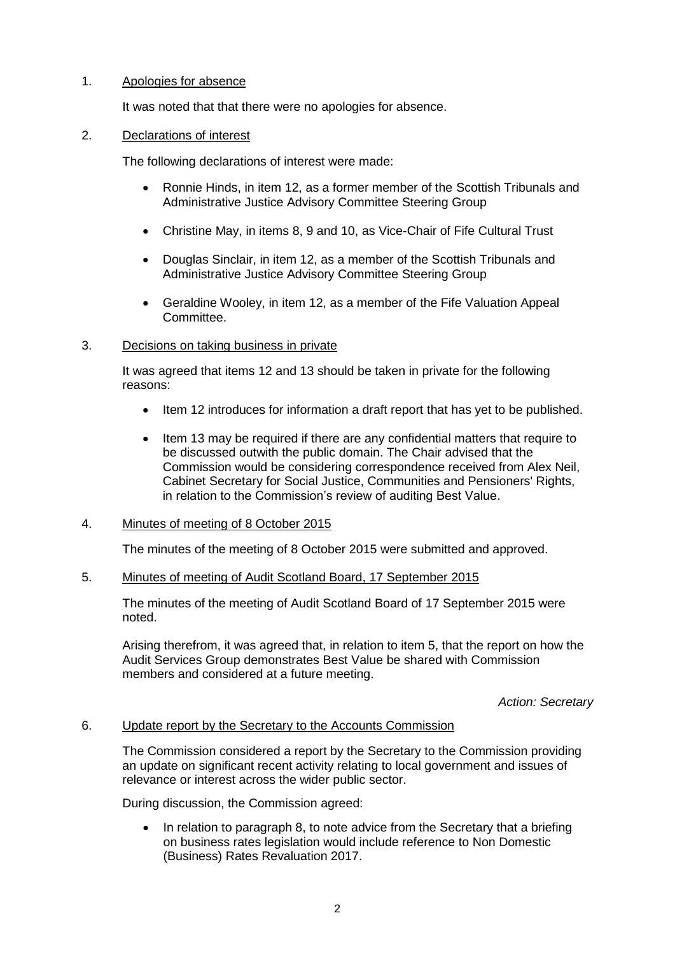# 1. Apologies for absence

It was noted that that there were no apologies for absence.

### 2. Declarations of interest

The following declarations of interest were made:

- Ronnie Hinds, in item 12, as a former member of the Scottish Tribunals and Administrative Justice Advisory Committee Steering Group
- Christine May, in items 8, 9 and 10, as Vice-Chair of Fife Cultural Trust
- Douglas Sinclair, in item 12, as a member of the Scottish Tribunals and Administrative Justice Advisory Committee Steering Group
- Geraldine Wooley, in item 12, as a member of the Fife Valuation Appeal Committee.

# 3. Decisions on taking business in private

It was agreed that items 12 and 13 should be taken in private for the following reasons:

- Item 12 introduces for information a draft report that has yet to be published.
- Item 13 may be required if there are any confidential matters that require to be discussed outwith the public domain. The Chair advised that the Commission would be considering correspondence received from Alex Neil, Cabinet Secretary for Social Justice, Communities and Pensioners' Rights, in relation to the Commission's review of auditing Best Value.

# 4. Minutes of meeting of 8 October 2015

The minutes of the meeting of 8 October 2015 were submitted and approved.

# 5. Minutes of meeting of Audit Scotland Board, 17 September 2015

The minutes of the meeting of Audit Scotland Board of 17 September 2015 were noted.

Arising therefrom, it was agreed that, in relation to item 5, that the report on how the Audit Services Group demonstrates Best Value be shared with Commission members and considered at a future meeting.

### *Action: Secretary*

### 6. Update report by the Secretary to the Accounts Commission

The Commission considered a report by the Secretary to the Commission providing an update on significant recent activity relating to local government and issues of relevance or interest across the wider public sector.

During discussion, the Commission agreed:

 In relation to paragraph 8, to note advice from the Secretary that a briefing on business rates legislation would include reference to Non Domestic (Business) Rates Revaluation 2017.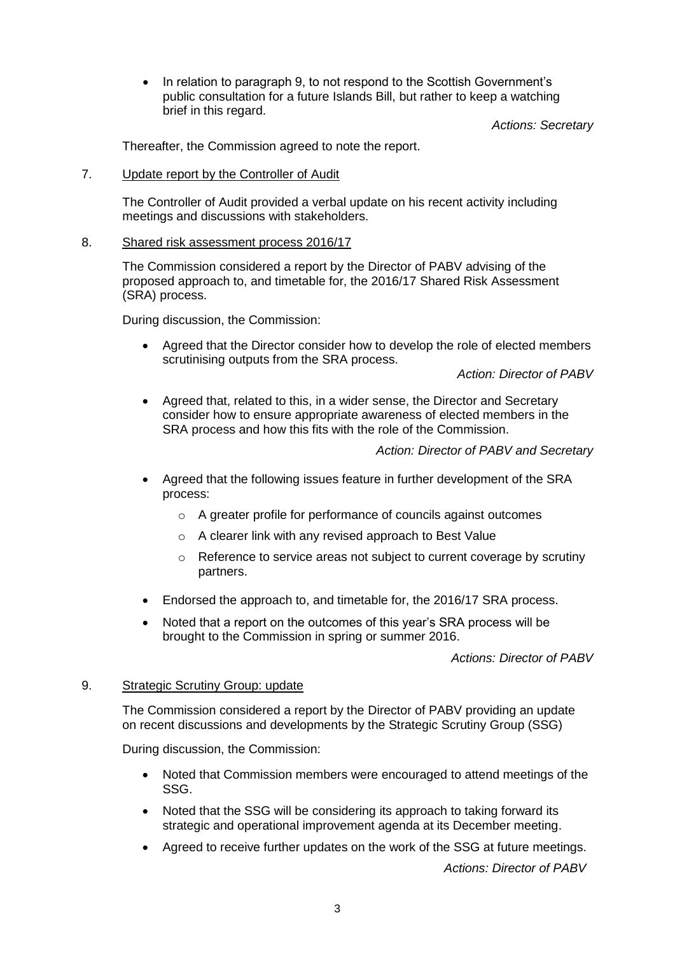• In relation to paragraph 9, to not respond to the Scottish Government's public consultation for a future Islands Bill, but rather to keep a watching brief in this regard.

*Actions: Secretary*

Thereafter, the Commission agreed to note the report.

### 7. Update report by the Controller of Audit

The Controller of Audit provided a verbal update on his recent activity including meetings and discussions with stakeholders.

### 8. Shared risk assessment process 2016/17

The Commission considered a report by the Director of PABV advising of the proposed approach to, and timetable for, the 2016/17 Shared Risk Assessment (SRA) process.

During discussion, the Commission:

 Agreed that the Director consider how to develop the role of elected members scrutinising outputs from the SRA process.

*Action: Director of PABV*

• Agreed that, related to this, in a wider sense, the Director and Secretary consider how to ensure appropriate awareness of elected members in the SRA process and how this fits with the role of the Commission.

# *Action: Director of PABV and Secretary*

- Agreed that the following issues feature in further development of the SRA process:
	- o A greater profile for performance of councils against outcomes
	- o A clearer link with any revised approach to Best Value
	- $\circ$  Reference to service areas not subject to current coverage by scrutiny partners.
- Endorsed the approach to, and timetable for, the 2016/17 SRA process.
- Noted that a report on the outcomes of this year's SRA process will be brought to the Commission in spring or summer 2016.

*Actions: Director of PABV*

# 9. Strategic Scrutiny Group: update

The Commission considered a report by the Director of PABV providing an update on recent discussions and developments by the Strategic Scrutiny Group (SSG)

During discussion, the Commission:

- Noted that Commission members were encouraged to attend meetings of the SSG.
- Noted that the SSG will be considering its approach to taking forward its strategic and operational improvement agenda at its December meeting.
- Agreed to receive further updates on the work of the SSG at future meetings.

*Actions: Director of PABV*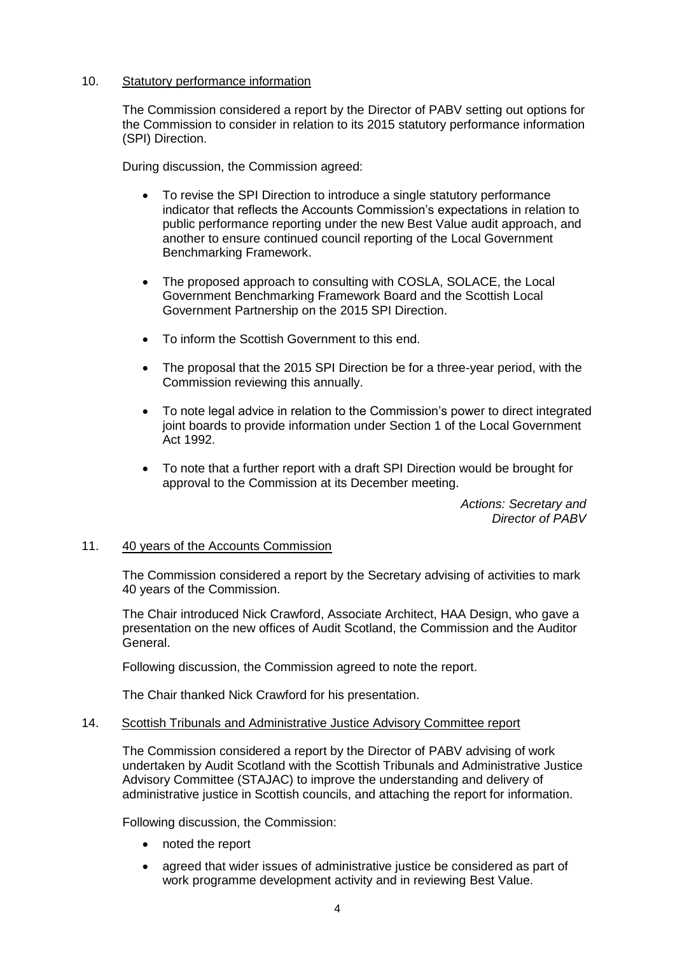### 10. Statutory performance information

The Commission considered a report by the Director of PABV setting out options for the Commission to consider in relation to its 2015 statutory performance information (SPI) Direction.

During discussion, the Commission agreed:

- To revise the SPI Direction to introduce a single statutory performance indicator that reflects the Accounts Commission's expectations in relation to public performance reporting under the new Best Value audit approach, and another to ensure continued council reporting of the Local Government Benchmarking Framework.
- The proposed approach to consulting with COSLA, SOLACE, the Local Government Benchmarking Framework Board and the Scottish Local Government Partnership on the 2015 SPI Direction.
- To inform the Scottish Government to this end.
- The proposal that the 2015 SPI Direction be for a three-year period, with the Commission reviewing this annually.
- To note legal advice in relation to the Commission's power to direct integrated joint boards to provide information under Section 1 of the Local Government Act 1992.
- To note that a further report with a draft SPI Direction would be brought for approval to the Commission at its December meeting.

*Actions: Secretary and Director of PABV*

# 11. 40 years of the Accounts Commission

The Commission considered a report by the Secretary advising of activities to mark 40 years of the Commission.

The Chair introduced Nick Crawford, Associate Architect, HAA Design, who gave a presentation on the new offices of Audit Scotland, the Commission and the Auditor General.

Following discussion, the Commission agreed to note the report.

The Chair thanked Nick Crawford for his presentation.

### 14. Scottish Tribunals and Administrative Justice Advisory Committee report

The Commission considered a report by the Director of PABV advising of work undertaken by Audit Scotland with the Scottish Tribunals and Administrative Justice Advisory Committee (STAJAC) to improve the understanding and delivery of administrative justice in Scottish councils, and attaching the report for information.

Following discussion, the Commission:

- noted the report
- agreed that wider issues of administrative justice be considered as part of work programme development activity and in reviewing Best Value.